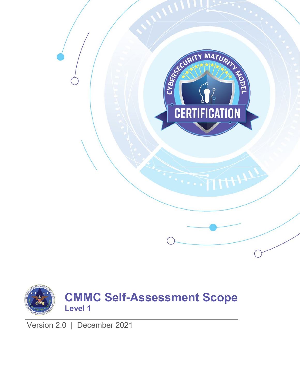



Version 2.0 | December 2021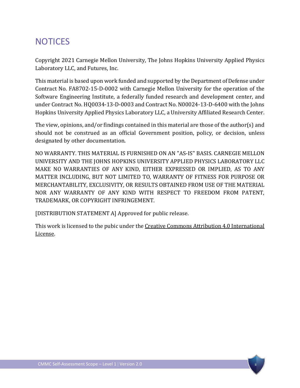## **NOTICES**

Copyright 2021 Carnegie Mellon University, The Johns Hopkins University Applied Physics Laboratory LLC, and Futures, Inc.

This material is based upon work funded and supported by the Department of Defense under Contract No. FA8702-15-D-0002 with Carnegie Mellon University for the operation of the Software Engineering Institute, a federally funded research and development center, and under Contract No. HQ0034-13-D-0003 and Contract No. N00024-13-D-6400 with the Johns Hopkins University Applied Physics Laboratory LLC, a University Affiliated Research Center.

The view, opinions, and/or findings contained in this material are those of the author(s) and should not be construed as an official Government position, policy, or decision, unless designated by other documentation.

NO WARRANTY. THIS MATERIAL IS FURNISHED ON AN "AS-IS" BASIS. CARNEGIE MELLON UNIVERSITY AND THE JOHNS HOPKINS UNIVERSITY APPLIED PHYSICS LABORATORY LLC MAKE NO WARRANTIES OF ANY KIND, EITHER EXPRESSED OR IMPLIED, AS TO ANY MATTER INCLUDING, BUT NOT LIMITED TO, WARRANTY OF FITNESS FOR PURPOSE OR MERCHANTABILITY, EXCLUSIVITY, OR RESULTS OBTAINED FROM USE OF THE MATERIAL NOR ANY WARRANTY OF ANY KIND WITH RESPECT TO FREEDOM FROM PATENT, TRADEMARK, OR COPYRIGHT INFRINGEMENT.

[DISTRIBUTION STATEMENT A] Approved for public release.

This work is licensed to the pubic under th[e Creative Commons Attribution 4.0 International](https://creativecommons.org/licenses/by/4.0/)  [License.](https://creativecommons.org/licenses/by/4.0/)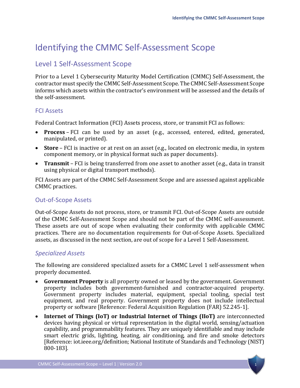# Identifying the CMMC Self-Assessment Scope

## Level 1 Self-Assessment Scope

Prior to a Level 1 Cybersecurity Maturity Model Certification (CMMC) Self-Assessment, the contractor must specify the CMMC Self-Assessment Scope. The CMMC Self-Assessment Scope informs which assets within the contractor's environment will be assessed and the details of the self-assessment.

#### FCI Assets

Federal Contract Information (FCI) Assets process, store, or transmit FCI as follows:

- **Process** FCI can be used by an asset (e.g., accessed, entered, edited, generated, manipulated, or printed).
- **Store** FCI is inactive or at rest on an asset (e.g., located on electronic media, in system component memory, or in physical format such as paper documents).
- **Transmit** FCI is being transferred from one asset to another asset (e.g., data in transit using physical or digital transport methods).

FCI Assets are part of the CMMC Self-Assessment Scope and are assessed against applicable CMMC practices.

#### Out-of-Scope Assets

Out-of-Scope Assets do not process, store, or transmit FCI. Out-of-Scope Assets are outside of the CMMC Self-Assessment Scope and should not be part of the CMMC self-assessment. These assets are out of scope when evaluating their conformity with applicable CMMC practices. There are no documentation requirements for Out-of-Scope Assets. Specialized assets, as discussed in the next section, are out of scope for a Level 1 Self-Assessment.

#### *Specialized Assets*

The following are considered specialized assets for a CMMC Level 1 self-assessment when properly documented.

- **Government Property** is all property owned or leased by the government. Government property includes both government-furnished and contractor-acquired property. Government property includes material, equipment, special tooling, special test equipment, and real property. Government property does not include intellectual property or software [Reference: Federal Acquisition Regulation (FAR) 52.245-1].
- **Internet of Things (IoT) or Industrial Internet of Things (IIoT)** are interconnected devices having physical or virtual representation in the digital world, sensing/actuation capability, and programmability features. They are uniquely identifiable and may include smart electric grids, lighting, heating, air conditioning, and fire and smoke detectors [Reference: iot.ieee.org/definition; National Institute of Standards and Technology (NIST) 800-183].

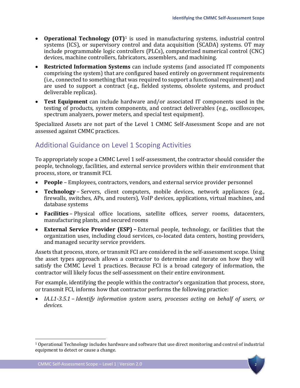- **Operational Technology (OT)**[1](#page-3-0) is used in manufacturing systems, industrial control systems (ICS), or supervisory control and data acquisition (SCADA) systems. OT may include programmable logic controllers (PLCs), computerized numerical control (CNC) devices, machine controllers, fabricators, assemblers, and machining.
- **Restricted Information Systems** can include systems (and associated IT components comprising the system) that are configured based entirely on government requirements (i.e., connected to something that was required to support a functional requirement) and are used to support a contract (e.g., fielded systems, obsolete systems, and product deliverable replicas).
- **Test Equipment** can include hardware and/or associated IT components used in the testing of products, system components, and contract deliverables (e.g., oscilloscopes, spectrum analyzers, power meters, and special test equipment).

Specialized Assets are not part of the Level 1 CMMC Self-Assessment Scope and are not assessed against CMMC practices.

## Additional Guidance on Level 1 Scoping Activities

To appropriately scope a CMMC Level 1 self-assessment, the contractor should consider the people, technology, facilities, and external service providers within their environment that process, store, or transmit FCI.

- **People** Employees, contractors, vendors, and external service provider personnel
- **Technology** Servers, client computers, mobile devices, network appliances (e.g., firewalls, switches, APs, and routers), VoIP devices, applications, virtual machines, and database systems
- **Facilities** Physical office locations, satellite offices, server rooms, datacenters, manufacturing plants, and secured rooms
- **External Service Provider (ESP)** External people, technology, or facilities that the organization uses, including cloud services, co-located data centers, hosting providers, and managed security service providers.

Assets that process, store, or transmit FCI are considered in the self-assessment scope. Using the asset types approach allows a contractor to determine and iterate on how they will satisfy the CMMC Level 1 practices. Because FCI is a broad category of information, the contractor will likely focus the self-assessment on their entire environment.

For example, identifying the people within the contractor's organization that process, store, or transmit FCI, informs how that contractor performs the following practice:

• *IA.L1-3.5.1* – *Identify information system users, processes acting on behalf of users, or devices.*

 $\overline{a}$ 

<span id="page-3-0"></span> $1$  Operational Technology includes hardware and software that use direct monitoring and control of industrial equipment to detect or cause a change.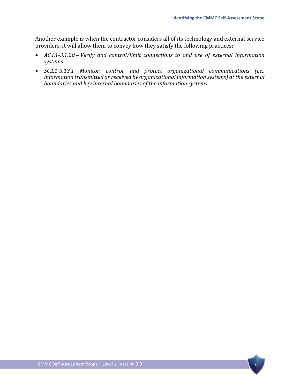Another example is when the contractor considers all of its technology and external service providers, it will allow them to convey how they satisfy the following practices:

- *AC.L1-3.1.20 Verify and control/limit connections to and use of external information systems.*
- *SC.L1-3.13.1 Monitor, control, and protect organizational communications (i.e., information transmitted or received by organizational information systems) at the external boundaries and key internal boundaries of the information systems.*